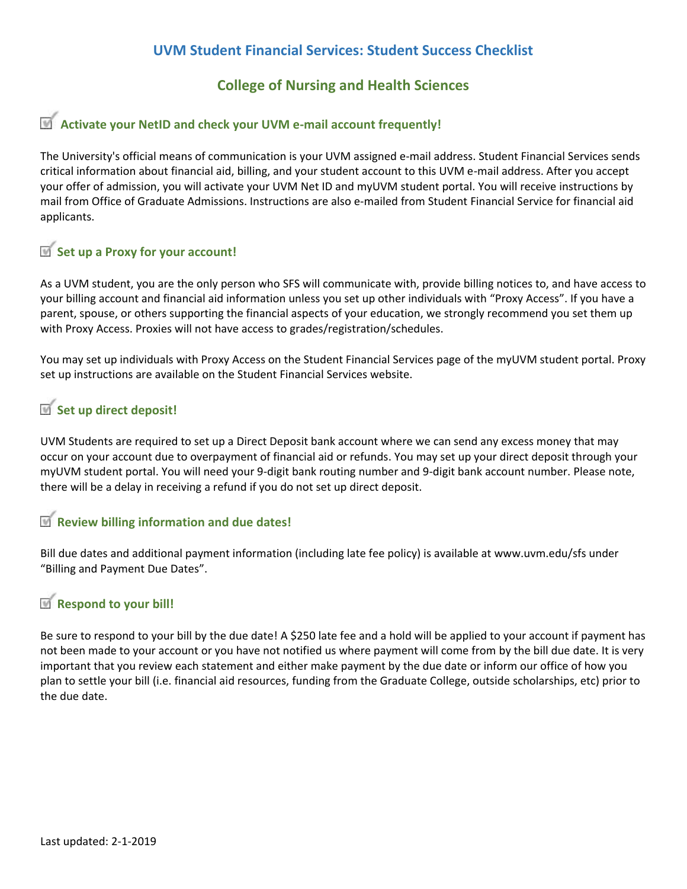## **UVM Student Financial Services: Student Success Checklist**

### **College of Nursing and Health Sciences**

## **Activate your NetID and check your UVM e-mail account frequently!**

The University's official means of communication is your UVM assigned e-mail address. Student Financial Services sends critical information about financial aid, billing, and your student account to this UVM e-mail address. After you accept your offer of admission, you will activate your UVM Net ID and myUVM student portal. You will receive instructions by mail from Office of Graduate Admissions. Instructions are also e-mailed from Student Financial Service for financial aid applicants.

# **Set up a Proxy for your account!**

As a UVM student, you are the only person who SFS will communicate with, provide billing notices to, and have access to your billing account and financial aid information unless you set up other individuals with "Proxy Access". If you have a parent, spouse, or others supporting the financial aspects of your education, we strongly recommend you set them up with Proxy Access. Proxies will not have access to grades/registration/schedules.

You may set up individuals with Proxy Access on the Student Financial Services page of the myUVM student portal. Proxy set up instructions are available on the Student Financial Services website.

### **Set up direct deposit!**

UVM Students are required to set up a Direct Deposit bank account where we can send any excess money that may occur on your account due to overpayment of financial aid or refunds. You may set up your direct deposit through your myUVM student portal. You will need your 9-digit bank routing number and 9-digit bank account number. Please note, there will be a delay in receiving a refund if you do not set up direct deposit.

#### **Review billing information and due dates!**

Bill due dates and additional payment information (including late fee policy) is available at www.uvm.edu/sfs under "Billing and Payment Due Dates".

### **Respond to your bill!**

Be sure to respond to your bill by the due date! A \$250 late fee and a hold will be applied to your account if payment has not been made to your account or you have not notified us where payment will come from by the bill due date. It is very important that you review each statement and either make payment by the due date or inform our office of how you plan to settle your bill (i.e. financial aid resources, funding from the Graduate College, outside scholarships, etc) prior to the due date.